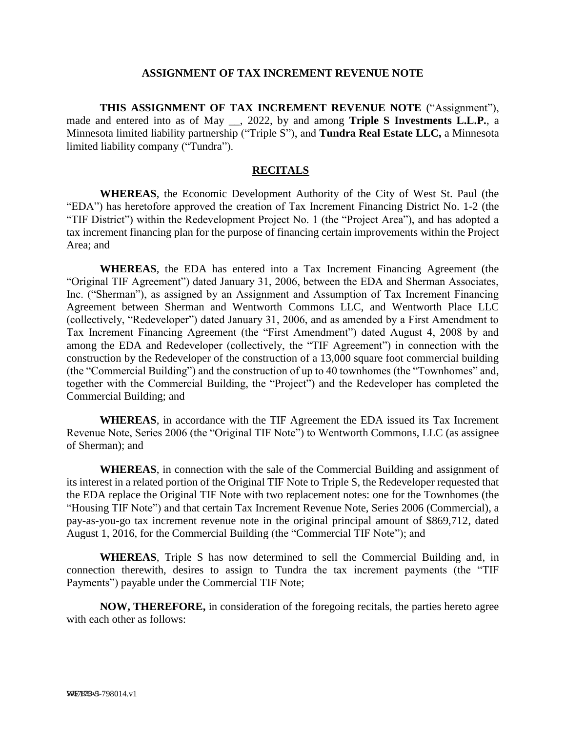### **ASSIGNMENT OF TAX INCREMENT REVENUE NOTE**

**THIS ASSIGNMENT OF TAX INCREMENT REVENUE NOTE** ("Assignment"), made and entered into as of May \_\_, 2022, by and among **Triple S Investments L.L.P.**, a Minnesota limited liability partnership ("Triple S"), and **Tundra Real Estate LLC,** a Minnesota limited liability company ("Tundra").

#### **RECITALS**

**WHEREAS**, the Economic Development Authority of the City of West St. Paul (the "EDA") has heretofore approved the creation of Tax Increment Financing District No. 1-2 (the "TIF District") within the Redevelopment Project No. 1 (the "Project Area"), and has adopted a tax increment financing plan for the purpose of financing certain improvements within the Project Area; and

**WHEREAS**, the EDA has entered into a Tax Increment Financing Agreement (the "Original TIF Agreement") dated January 31, 2006, between the EDA and Sherman Associates, Inc. ("Sherman"), as assigned by an Assignment and Assumption of Tax Increment Financing Agreement between Sherman and Wentworth Commons LLC, and Wentworth Place LLC (collectively, "Redeveloper") dated January 31, 2006, and as amended by a First Amendment to Tax Increment Financing Agreement (the "First Amendment") dated August 4, 2008 by and among the EDA and Redeveloper (collectively, the "TIF Agreement") in connection with the construction by the Redeveloper of the construction of a 13,000 square foot commercial building (the "Commercial Building") and the construction of up to 40 townhomes (the "Townhomes" and, together with the Commercial Building, the "Project") and the Redeveloper has completed the Commercial Building; and

**WHEREAS**, in accordance with the TIF Agreement the EDA issued its Tax Increment Revenue Note, Series 2006 (the "Original TIF Note") to Wentworth Commons, LLC (as assignee of Sherman); and

**WHEREAS**, in connection with the sale of the Commercial Building and assignment of its interest in a related portion of the Original TIF Note to Triple S, the Redeveloper requested that the EDA replace the Original TIF Note with two replacement notes: one for the Townhomes (the "Housing TIF Note") and that certain Tax Increment Revenue Note, Series 2006 (Commercial), a pay-as-you-go tax increment revenue note in the original principal amount of \$869,712, dated August 1, 2016, for the Commercial Building (the "Commercial TIF Note"); and

**WHEREAS**, Triple S has now determined to sell the Commercial Building and, in connection therewith, desires to assign to Tundra the tax increment payments (the "TIF Payments") payable under the Commercial TIF Note;

**NOW, THEREFORE,** in consideration of the foregoing recitals, the parties hereto agree with each other as follows: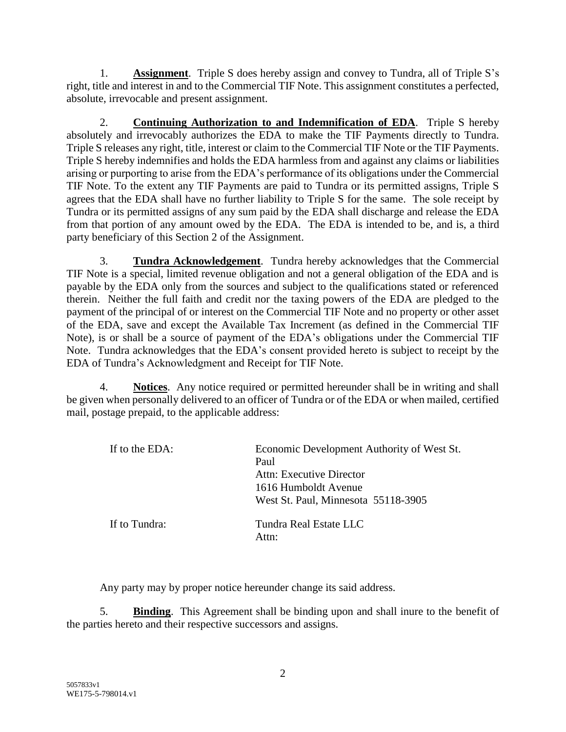1. **Assignment**. Triple S does hereby assign and convey to Tundra, all of Triple S's right, title and interest in and to the Commercial TIF Note. This assignment constitutes a perfected, absolute, irrevocable and present assignment.

2. **Continuing Authorization to and Indemnification of EDA**. Triple S hereby absolutely and irrevocably authorizes the EDA to make the TIF Payments directly to Tundra. Triple S releases any right, title, interest or claim to the Commercial TIF Note or the TIF Payments. Triple S hereby indemnifies and holds the EDA harmless from and against any claims or liabilities arising or purporting to arise from the EDA's performance of its obligations under the Commercial TIF Note. To the extent any TIF Payments are paid to Tundra or its permitted assigns, Triple S agrees that the EDA shall have no further liability to Triple S for the same. The sole receipt by Tundra or its permitted assigns of any sum paid by the EDA shall discharge and release the EDA from that portion of any amount owed by the EDA. The EDA is intended to be, and is, a third party beneficiary of this Section 2 of the Assignment.

3. **Tundra Acknowledgement**. Tundra hereby acknowledges that the Commercial TIF Note is a special, limited revenue obligation and not a general obligation of the EDA and is payable by the EDA only from the sources and subject to the qualifications stated or referenced therein. Neither the full faith and credit nor the taxing powers of the EDA are pledged to the payment of the principal of or interest on the Commercial TIF Note and no property or other asset of the EDA, save and except the Available Tax Increment (as defined in the Commercial TIF Note), is or shall be a source of payment of the EDA's obligations under the Commercial TIF Note. Tundra acknowledges that the EDA's consent provided hereto is subject to receipt by the EDA of Tundra's Acknowledgment and Receipt for TIF Note.

4. **Notices**. Any notice required or permitted hereunder shall be in writing and shall be given when personally delivered to an officer of Tundra or of the EDA or when mailed, certified mail, postage prepaid, to the applicable address:

| If to the EDA: | Economic Development Authority of West St.<br>Paul<br>Attn: Executive Director<br>1616 Humboldt Avenue<br>West St. Paul, Minnesota 55118-3905 |
|----------------|-----------------------------------------------------------------------------------------------------------------------------------------------|
| If to Tundra:  | Tundra Real Estate LLC<br>Attn:                                                                                                               |

Any party may by proper notice hereunder change its said address.

5. **Binding**. This Agreement shall be binding upon and shall inure to the benefit of the parties hereto and their respective successors and assigns.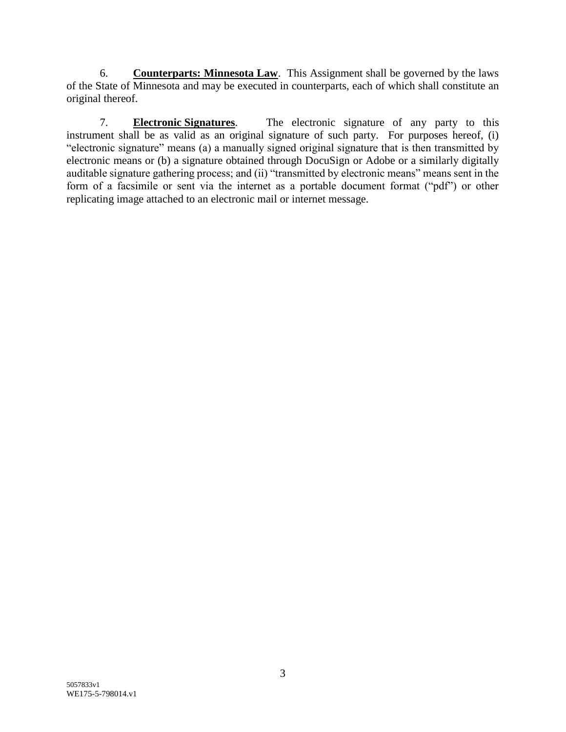6. **Counterparts: Minnesota Law**. This Assignment shall be governed by the laws of the State of Minnesota and may be executed in counterparts, each of which shall constitute an original thereof.

7. **Electronic Signatures**. The electronic signature of any party to this instrument shall be as valid as an original signature of such party. For purposes hereof, (i) "electronic signature" means (a) a manually signed original signature that is then transmitted by electronic means or (b) a signature obtained through DocuSign or Adobe or a similarly digitally auditable signature gathering process; and (ii) "transmitted by electronic means" means sent in the form of a facsimile or sent via the internet as a portable document format ("pdf") or other replicating image attached to an electronic mail or internet message.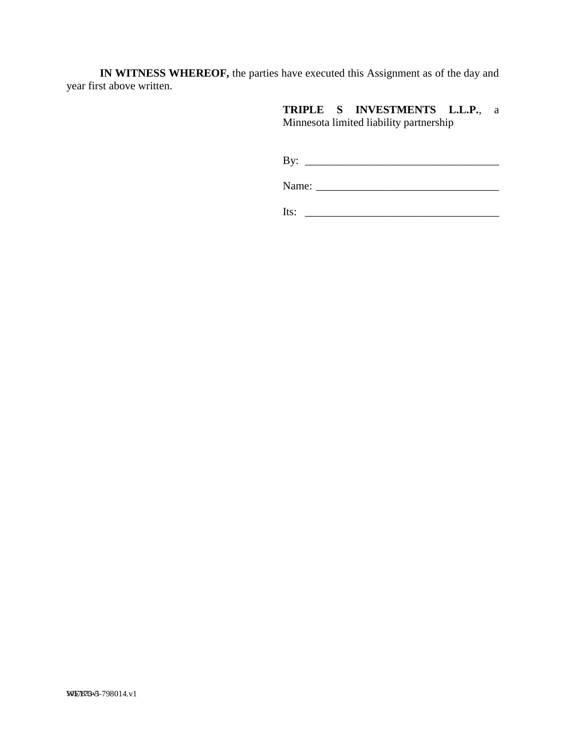**IN WITNESS WHEREOF,** the parties have executed this Assignment as of the day and year first above written.

> **TRIPLE S INVESTMENTS L.L.P.**, a Minnesota limited liability partnership

> By: \_\_\_\_\_\_\_\_\_\_\_\_\_\_\_\_\_\_\_\_\_\_\_\_\_\_\_\_\_\_\_\_\_\_\_

Name: \_\_\_\_\_\_\_\_\_\_\_\_\_\_\_\_\_\_\_\_\_\_\_\_\_\_\_\_\_\_\_\_\_

 $Its: \_$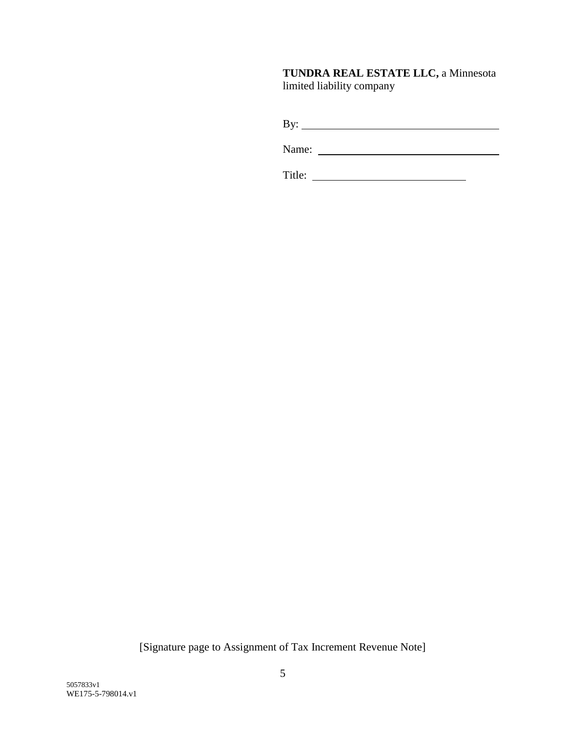# **TUNDRA REAL ESTATE LLC,** a Minnesota limited liability company

By:

Name:

Title:

[Signature page to Assignment of Tax Increment Revenue Note]